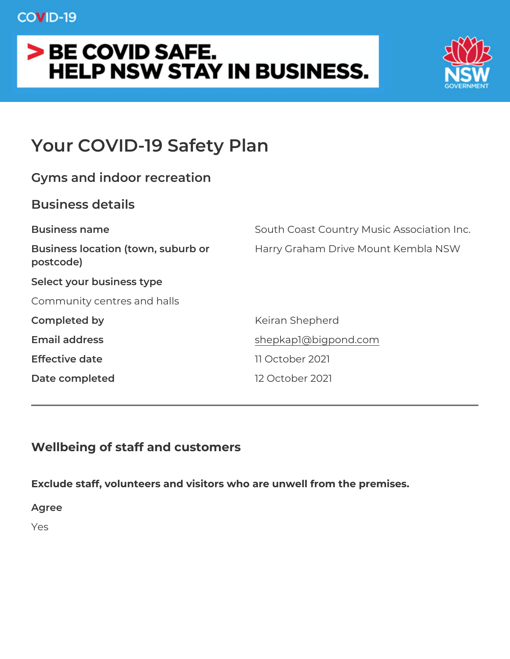# Your COVID-19 Safety Plan

| Gyms and indoor recreation  |                                                                  |
|-----------------------------|------------------------------------------------------------------|
| Business details            |                                                                  |
| Business name               | South Coast Country Music Associa                                |
| postcode)                   | Business location (town, suburbHarry Graham Drive Mount Kembla N |
| Select your business type   |                                                                  |
| Community centres and halls |                                                                  |
| Completed by                | Keiran Shepherd                                                  |
| Email address               | shepkap1@bigpond.com                                             |
| Effective date              | 11 October 2021                                                  |
| Date completed              | 12 October 2021                                                  |
|                             |                                                                  |

Wellbeing of staff and customers

Exclude staff, volunteers and visitors who are unwell from the prer Agree Yes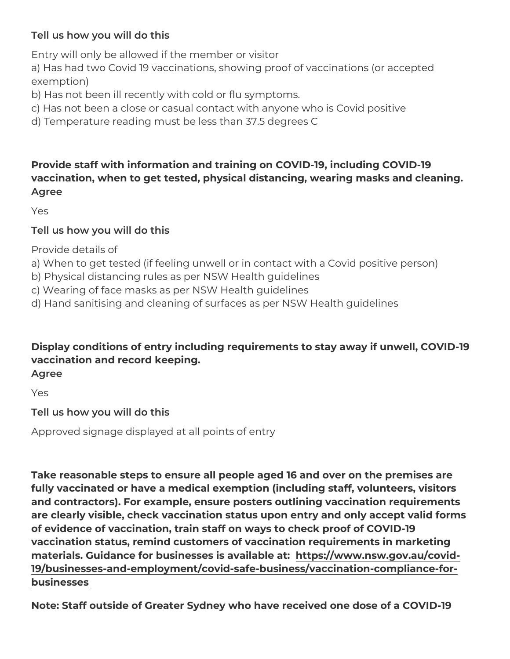Tell us how you will do this Entry will only be allowed if the member or visitor a) Has had two Covid 19 vaccinations, showing proof of vaccination exemption) b) Has not been ill recently with cold or flu symptoms. c) Has not been a close or casual contact with anyone who is Covid d) Temperature reading must be less than 37.5 degrees C Provide staff with information and training on COVID-19, including vaccination, when to get tested, physical distancing, wearing mask Agree Yes Tell us how you will do this Provide details of a) When to get tested (if feeling unwell or in contact with a Covid b) Physical distancing rules as per NSW Health guidelines c) Wearing of face masks as per NSW Health guidelines d) Hand sanitising and cleaning of surfaces as per NSW Health gui Display conditions of entry including requirements to stay away if vaccination and record keeping. Agree Yes Tell us how you will do this

Approved signage displayed at all points of entry

Take reasonable steps to ensure all people aged 16 and over on the fully vaccinated or have a medical exemption (including staff, volu and contractors). For example, ensure posters outlining vaccinatio are clearly visible, check vaccination status upon entry and only a of evidence of vaccination, train staff on ways to check proof of C vaccination status, remind customers of vaccination requirements in materials. Guidance for businesses ishtatpasil/ablowewansw.gov.au/covid· [19/businesses-and-employment/covid-safe-business/vaccina](https://www.nsw.gov.au/covid-19/businesses-and-employment/covid-safe-business/vaccination-compliance-for-businesses)tion-com [business](https://www.nsw.gov.au/covid-19/businesses-and-employment/covid-safe-business/vaccination-compliance-for-businesses)es

Note: Staff outside of Greater Sydney who have received one dose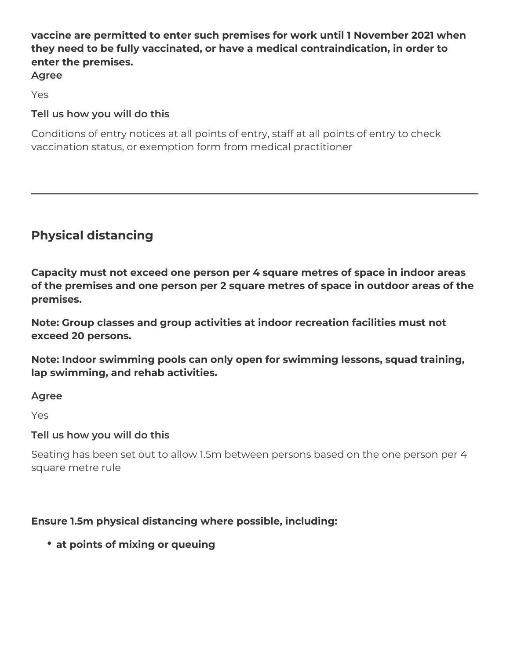## **vaccine are permitted to enter such premises for work until 1 November 2021 when they need to be fully vaccinated, or have a medical contraindication, in order to enter the premises.**

**Agree**

Yes

# **Tell us how you will do this**

Conditions of entry notices at all points of entry, staff at all points of entry to check vaccination status, or exemption form from medical practitioner

# **Physical distancing**

**Capacity must not exceed one person per 4 square metres of space in indoor areas of the premises and one person per 2 square metres of space in outdoor areas of the premises.**

**Note: Group classes and group activities at indoor recreation facilities must not exceed 20 persons.** 

**Note: Indoor swimming pools can only open for swimming lessons, squad training, lap swimming, and rehab activities.**

**Agree**

Yes

### **Tell us how you will do this**

Seating has been set out to allow 1.5m between persons based on the one person per 4 square metre rule

# **Ensure 1.5m physical distancing where possible, including:**

**at points of mixing or queuing**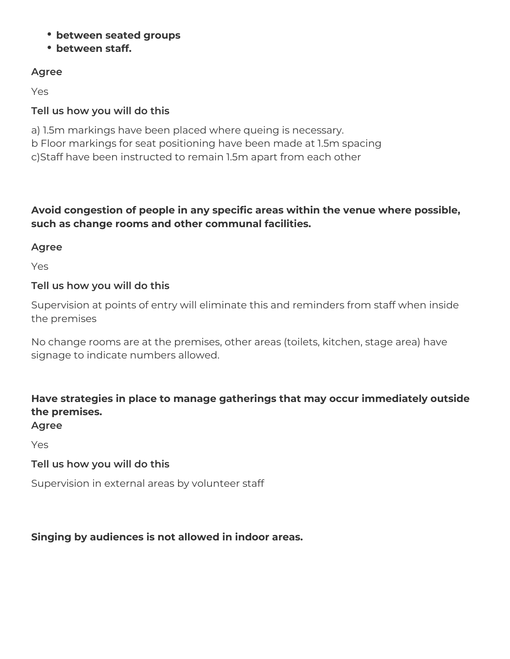- **between seated groups**
- **between staff.**

### **Agree**

Yes

## **Tell us how you will do this**

a) 1.5m markings have been placed where queing is necessary. b Floor markings for seat positioning have been made at 1.5m spacing c)Staff have been instructed to remain 1.5m apart from each other

### **Avoid congestion of people in any specific areas within the venue where possible, such as change rooms and other communal facilities.**

### **Agree**

Yes

### **Tell us how you will do this**

Supervision at points of entry will eliminate this and reminders from staff when inside the premises

No change rooms are at the premises, other areas (toilets, kitchen, stage area) have signage to indicate numbers allowed.

# **Have strategies in place to manage gatherings that may occur immediately outside the premises.**

### **Agree**

Yes

### **Tell us how you will do this**

Supervision in external areas by volunteer staff

### **Singing by audiences is not allowed in indoor areas.**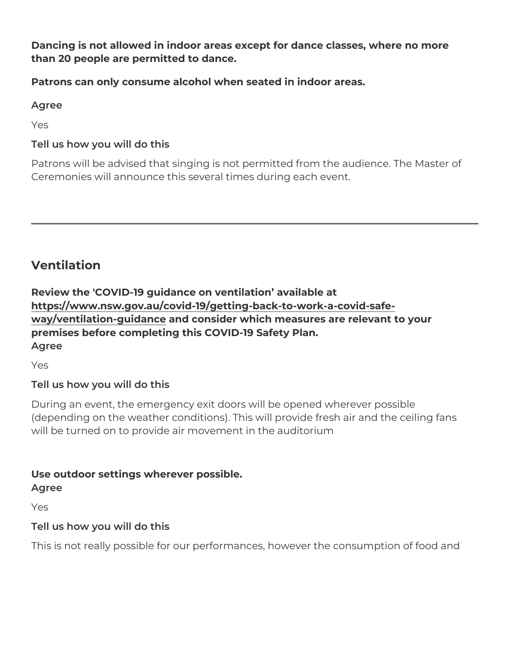Dancing is not allowed in indoor areas except for dance classes, w than 20 people are permitted to dance.

Patrons can only consume alcohol when seated in indoor areas.

Agree

Yes

Tell us how you will do this

Patrons will be advised that singing is not permitted from the audie Ceremonies will announce this several times during each event.

#### Ventilation

Review the 'COVID-19 guidance on ventilation available at [https://www.nsw.gov.au/covid-19/getting-back-to-wo](https://www.nsw.gov.au/covid-19/getting-back-to-work-a-covid-safe-way/ventilation-guidance)rk-a-covid-safe [way/ventilation-gui](https://www.nsw.gov.au/covid-19/getting-back-to-work-a-covid-safe-way/ventilation-guidance)danne consider which measures are relevant to your premises before completing this COVID-19 Safety Plan. Agree

Yes

Tell us how you will do this

During an event, the emergency exit doors will be opened wherever (depending on the weather conditions). This will provide fresh air and  $\alpha$ will be turned on to provide air movement in the auditorium

Use outdoor settings wherever possible.

Agree

Yes

Tell us how you will do this

This is not really possible for our performances, however the consum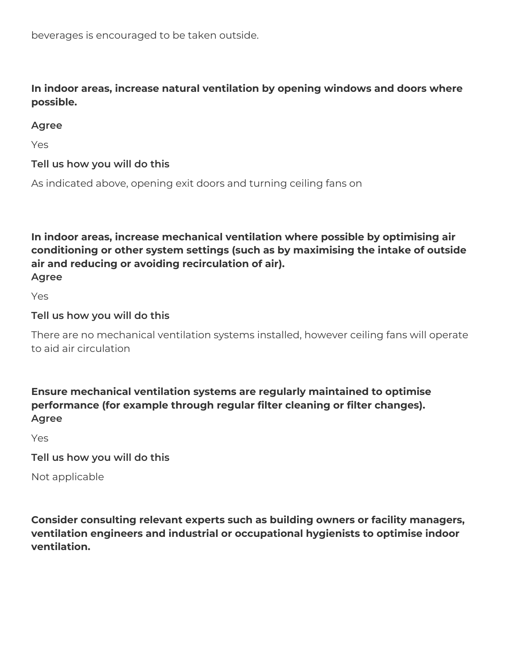beverages is encouraged to be taken outside.

**In indoor areas, increase natural ventilation by opening windows and doors where possible.**

### **Agree**

Yes

### **Tell us how you will do this**

As indicated above, opening exit doors and turning ceiling fans on

**In indoor areas, increase mechanical ventilation where possible by optimising air conditioning or other system settings (such as by maximising the intake of outside air and reducing or avoiding recirculation of air).**

**Agree** Yes

**Tell us how you will do this**

There are no mechanical ventilation systems installed, however ceiling fans will operate to aid air circulation

**Ensure mechanical ventilation systems are regularly maintained to optimise performance (for example through regular filter cleaning or filter changes). Agree**

Yes

**Tell us how you will do this**

Not applicable

**Consider consulting relevant experts such as building owners or facility managers, ventilation engineers and industrial or occupational hygienists to optimise indoor ventilation.**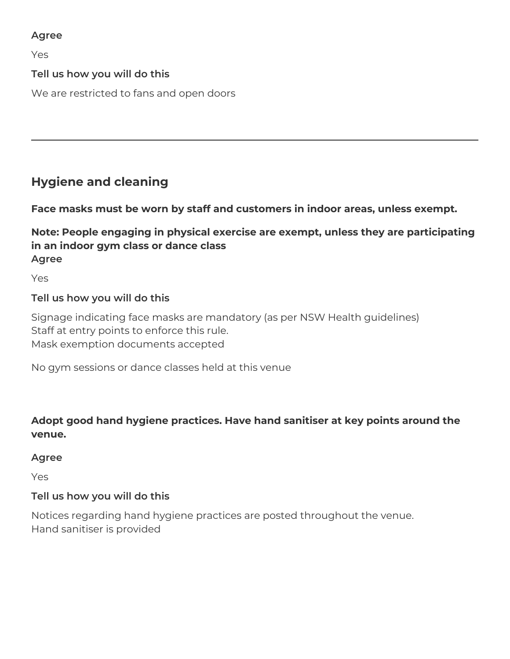### **Agree**

Yes

### **Tell us how you will do this**

We are restricted to fans and open doors

# **Hygiene and cleaning**

**Face masks must be worn by staff and customers in indoor areas, unless exempt.** 

## **Note: People engaging in physical exercise are exempt, unless they are participating in an indoor gym class or dance class Agree**

Yes

### **Tell us how you will do this**

Signage indicating face masks are mandatory (as per NSW Health guidelines) Staff at entry points to enforce this rule. Mask exemption documents accepted

No gym sessions or dance classes held at this venue

### **Adopt good hand hygiene practices. Have hand sanitiser at key points around the venue.**

### **Agree**

Yes

### **Tell us how you will do this**

Notices regarding hand hygiene practices are posted throughout the venue. Hand sanitiser is provided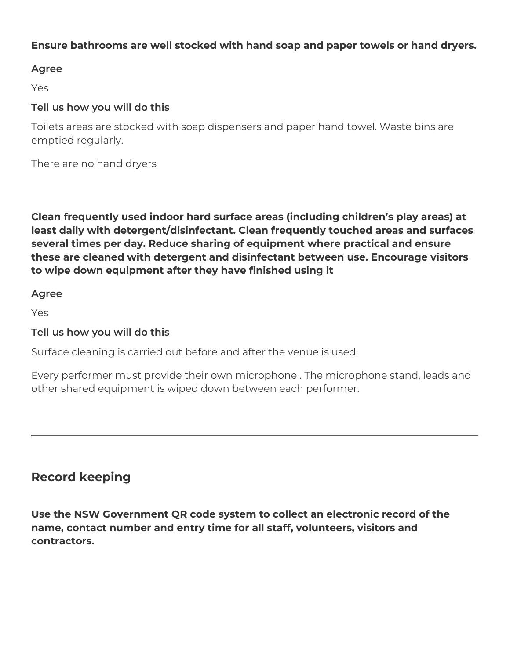### **Ensure bathrooms are well stocked with hand soap and paper towels or hand dryers.**

### **Agree**

Yes

### **Tell us how you will do this**

Toilets areas are stocked with soap dispensers and paper hand towel. Waste bins are emptied regularly.

There are no hand dryers

**Clean frequently used indoor hard surface areas (including children's play areas) at least daily with detergent/disinfectant. Clean frequently touched areas and surfaces several times per day. Reduce sharing of equipment where practical and ensure these are cleaned with detergent and disinfectant between use. Encourage visitors to wipe down equipment after they have finished using it**

**Agree**

Yes

### **Tell us how you will do this**

Surface cleaning is carried out before and after the venue is used.

Every performer must provide their own microphone . The microphone stand, leads and other shared equipment is wiped down between each performer.

# **Record keeping**

**Use the NSW Government QR code system to collect an electronic record of the name, contact number and entry time for all staff, volunteers, visitors and contractors.**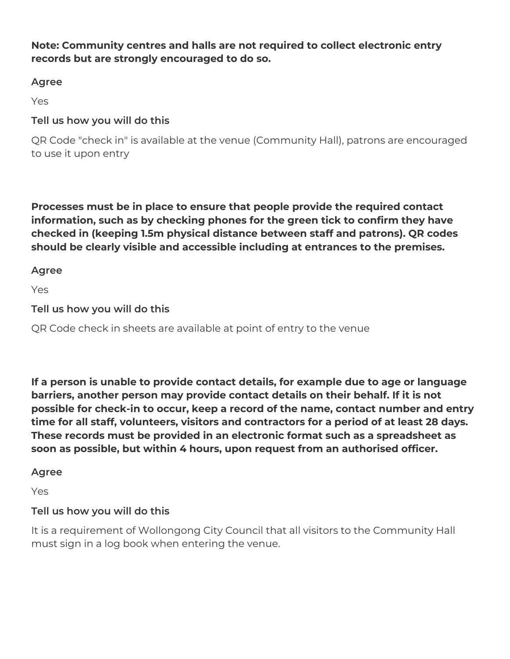### **Note: Community centres and halls are not required to collect electronic entry records but are strongly encouraged to do so.**

### **Agree**

Yes

### **Tell us how you will do this**

QR Code "check in" is available at the venue (Community Hall), patrons are encouraged to use it upon entry

**Processes must be in place to ensure that people provide the required contact information, such as by checking phones for the green tick to confirm they have checked in (keeping 1.5m physical distance between staff and patrons). QR codes should be clearly visible and accessible including at entrances to the premises.**

**Agree**

Yes

**Tell us how you will do this**

QR Code check in sheets are available at point of entry to the venue

**If a person is unable to provide contact details, for example due to age or language barriers, another person may provide contact details on their behalf. If it is not possible for check-in to occur, keep a record of the name, contact number and entry time for all staff, volunteers, visitors and contractors for a period of at least 28 days. These records must be provided in an electronic format such as a spreadsheet as soon as possible, but within 4 hours, upon request from an authorised officer.** 

### **Agree**

Yes

### **Tell us how you will do this**

It is a requirement of Wollongong City Council that all visitors to the Community Hall must sign in a log book when entering the venue.